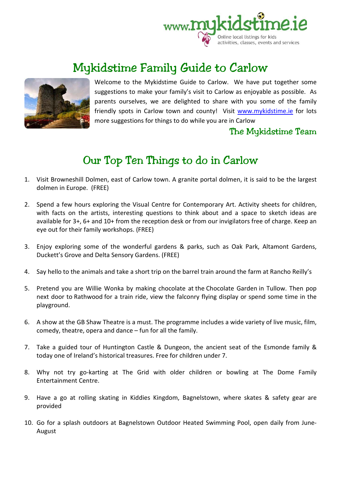

# Mykidstime Family Guide to Carlow



Welcome to the Mykidstime Guide to Carlow. We have put together some suggestions to make your family's visit to Carlow as enjoyable as possible. As parents ourselves, we are delighted to share with you some of the family friendly spots in Carlow town and county! Visit www.mykidstime.ie for lots more suggestions for things to do while you are in Carlow

## The Mykidstime Team

## Our Top Ten Things to do in Carlow

- 1. Visit Browneshill Dolmen, east of Carlow town. A granite portal dolmen, it is said to be the largest dolmen in Europe. (FREE)
- 2. Spend a few hours exploring the Visual Centre for Contemporary Art. Activity sheets for children, with facts on the artists, interesting questions to think about and a space to sketch ideas are available for 3+, 6+ and 10+ from the reception desk or from our invigilators free of charge. Keep an eye out for their family workshops. (FREE)
- 3. Enjoy exploring some of the wonderful gardens & parks, such as Oak Park, Altamont Gardens, Duckett's Grove and Delta Sensory Gardens. (FREE)
- 4. Say hello to the animals and take a short trip on the barrel train around the farm at Rancho Reilly's
- 5. Pretend you are Willie Wonka by making chocolate at the Chocolate Garden in Tullow. Then pop next door to Rathwood for a train ride, view the falconry flying display or spend some time in the playground.
- 6. A show at the GB Shaw Theatre is a must. The programme includes a wide variety of live music, film, comedy, theatre, opera and dance – fun for all the family.
- 7. Take a guided tour of Huntington Castle & Dungeon, the ancient seat of the Esmonde family & today one of Ireland's historical treasures. Free for children under 7.
- 8. Why not try go-karting at The Grid with older children or bowling at The Dome Family Entertainment Centre.
- 9. Have a go at rolling skating in Kiddies Kingdom, Bagnelstown, where skates & safety gear are provided
- 10. Go for a splash outdoors at Bagnelstown Outdoor Heated Swimming Pool, open daily from June-August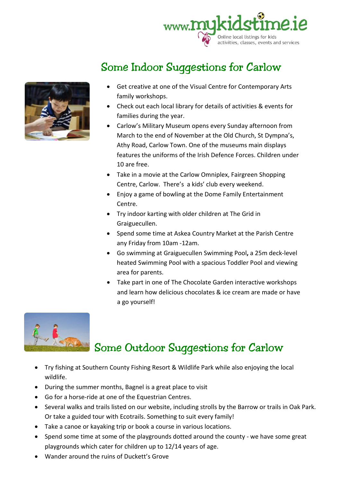

# Some Indoor Suggestions for Carlow



- Get creative at one of the Visual Centre for Contemporary Arts family workshops.
- Check out each local library for details of activities & events for families during the year.
- Carlow's Military Museum opens every Sunday afternoon from March to the end of November at the Old Church, St Dympna's, Athy Road, Carlow Town. One of the museums main displays features the uniforms of the Irish Defence Forces. Children under 10 are free.
- Take in a movie at the Carlow Omniplex, Fairgreen Shopping Centre, Carlow. There's a kids' club every weekend.
- Enjoy a game of bowling at the Dome Family Entertainment Centre.
- Try indoor karting with older children at The Grid in Graiguecullen.
- Spend some time at Askea Country Market at the Parish Centre any Friday from 10am -12am.
- Go swimming at Graiguecullen Swimming Pool**,** a 25m deck-level heated Swimming Pool with a spacious Toddler Pool and viewing area for parents.
- Take part in one of The Chocolate Garden interactive workshops and learn how delicious chocolates & ice cream are made or have a go yourself!



# Some Outdoor Suggestions for Carlow

- Try fishing at Southern County Fishing Resort & Wildlife Park while also enjoying the local wildlife.
- During the summer months, Bagnel is a great place to visit
- Go for a horse-ride at one of the Equestrian Centres.
- Several walks and trails listed on our website, including strolls by the Barrow or trails in Oak Park. Or take a guided tour with Ecotrails. Something to suit every family!
- Take a canoe or kayaking trip or book a course in various locations.
- Spend some time at some of the playgrounds dotted around the county we have some great playgrounds which cater for children up to 12/14 years of age.
- Wander around the ruins of Duckett's Grove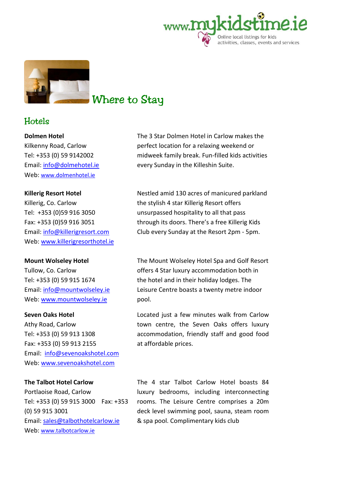



## Where to Stay

## Hotels

#### **Dolmen Hotel**

Kilkenny Road, Carlow Tel: +353 (0) 59 9142002 Email: info@dolmehotel.ie Web: www.dolmenhotel.ie

#### **Killerig Resort Hotel**

Killerig, Co. Carlow Tel: +353 (0)59 916 3050 Fax: +353 (0)59 916 3051 Email: info@killerigresort.com Web: www.killerigresorthotel.ie

#### **Mount Wolseley Hotel**

Tullow, Co. Carlow Tel: +353 (0) 59 915 1674 Email: info@mountwolseley.ie Web: www.mountwolseley.ie

#### **Seven Oaks Hotel**

Athy Road, Carlow Tel: +353 (0) 59 913 1308 Fax: +353 (0) 59 913 2155 Email: info@sevenoakshotel.com Web: www.sevenoakshotel.com

#### **The Talbot Hotel Carlow**

Portlaoise Road, Carlow Tel: +353 (0) 59 915 3000 Fax: +353 (0) 59 915 3001 Email: sales@talbothotelcarlow.ie Web: www.talbotcarlow.ie

The 3 Star Dolmen Hotel in Carlow makes the perfect location for a relaxing weekend or midweek family break. Fun-filled kids activities every Sunday in the Killeshin Suite.

Nestled amid 130 acres of manicured parkland the stylish 4 star Killerig Resort offers unsurpassed hospitality to all that pass through its doors. There's a free Killerig Kids Club every Sunday at the Resort 2pm - 5pm.

The Mount Wolseley Hotel Spa and Golf Resort offers 4 Star luxury accommodation both in the hotel and in their holiday lodges. The Leisure Centre boasts a twenty metre indoor pool.

Located just a few minutes walk from Carlow town centre, the Seven Oaks offers luxury accommodation, friendly staff and good food at affordable prices.

The 4 star Talbot Carlow Hotel boasts 84 luxury bedrooms, including interconnecting rooms. The Leisure Centre comprises a 20m deck level swimming pool, sauna, steam room & spa pool. Complimentary kids club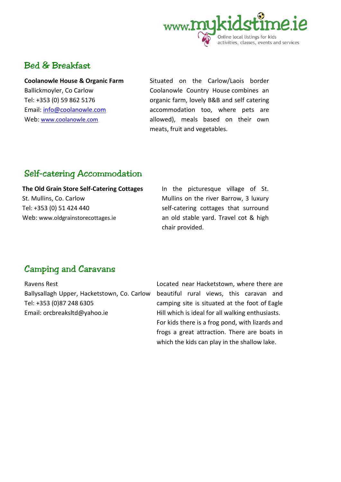

## Bed & Breakfast

**Coolanowle House & Organic Farm**  Ballickmoyler, Co Carlow Tel: +353 (0) 59 862 5176 Email: info@coolanowle.com Web: www.coolanowle.com

Situated on the Carlow/Laois border Coolanowle Country House combines an organic farm, lovely B&B and self catering accommodation too, where pets are allowed), meals based on their own meats, fruit and vegetables.

## Self-catering Accommodation

**The Old Grain Store Self-Catering Cottages**  St. Mullins, Co. Carlow Tel: +353 (0) 51 424 440 Web: www.oldgrainstorecottages.ie

In the picturesque village of St. Mullins on the river Barrow, 3 luxury self-catering cottages that surround an old stable yard. Travel cot & high chair provided.

## Camping and Caravans

Ravens Rest Ballysallagh Upper, Hacketstown, Co. Carlow Tel: +353 (0)87 248 6305 Email: orcbreaksltd@yahoo.ie

Located near Hacketstown, where there are beautiful rural views, this caravan and camping site is situated at the foot of Eagle Hill which is ideal for all walking enthusiasts. For kids there is a frog pond, with lizards and frogs a great attraction. There are boats in which the kids can play in the shallow lake.